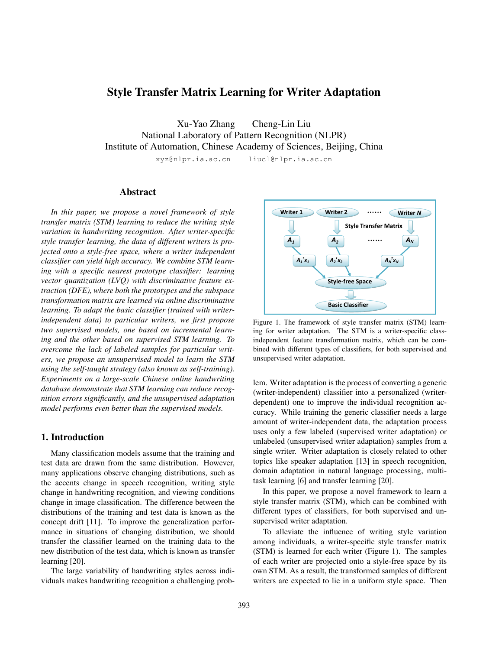# Style Transfer Matrix Learning for Writer Adaptation

Xu-Yao Zhang Cheng-Lin Liu National Laboratory of Pattern Recognition (NLPR) Institute of Automation, Chinese Academy of Sciences, Beijing, China xyz@nlpr.ia.ac.cn liucl@nlpr.ia.ac.cn

# Abstract

*In this paper, we propose a novel framework of style transfer matrix (STM) learning to reduce the writing style variation in handwriting recognition. After writer-specific style transfer learning, the data of different writers is projected onto a style-free space, where a writer independent classifier can yield high accuracy. We combine STM learning with a specific nearest prototype classifier: learning vector quantization (LVQ) with discriminative feature extraction (DFE), where both the prototypes and the subspace transformation matrix are learned via online discriminative learning. To adapt the basic classifier (trained with writerindependent data) to particular writers, we first propose two supervised models, one based on incremental learning and the other based on supervised STM learning. To overcome the lack of labeled samples for particular writers, we propose an unsupervised model to learn the STM using the self-taught strategy (also known as self-training). Experiments on a large-scale Chinese online handwriting database demonstrate that STM learning can reduce recognition errors significantly, and the unsupervised adaptation model performs even better than the supervised models.*

# 1. Introduction

Many classification models assume that the training and test data are drawn from the same distribution. However, many applications observe changing distributions, such as the accents change in speech recognition, writing style change in handwriting recognition, and viewing conditions change in image classification. The difference between the distributions of the training and test data is known as the concept drift [11]. To improve the generalization performance in situations of changing distribution, we should transfer the classifier learned on the training data to the new distribution of the test data, which is known as transfer learning [20].

The large variability of handwriting styles across individuals makes handwriting recognition a challenging prob-



Figure 1. The framework of style transfer matrix (STM) learning for writer adaptation. The STM is a writer-specific classindependent feature transformation matrix, which can be combined with different types of classifiers, for both supervised and unsupervised writer adaptation.

lem. Writer adaptation is the process of converting a generic (writer-independent) classifier into a personalized (writerdependent) one to improve the individual recognition accuracy. While training the generic classifier needs a large amount of writer-independent data, the adaptation process uses only a few labeled (supervised writer adaptation) or unlabeled (unsupervised writer adaptation) samples from a single writer. Writer adaptation is closely related to other topics like speaker adaptation [13] in speech recognition, domain adaptation in natural language processing, multitask learning [6] and transfer learning [20].

In this paper, we propose a novel framework to learn a style transfer matrix (STM), which can be combined with different types of classifiers, for both supervised and unsupervised writer adaptation.

To alleviate the influence of writing style variation among individuals, a writer-specific style transfer matrix (STM) is learned for each writer (Figure 1). The samples of each writer are projected onto a style-free space by its own STM. As a result, the transformed samples of different writers are expected to lie in a uniform style space. Then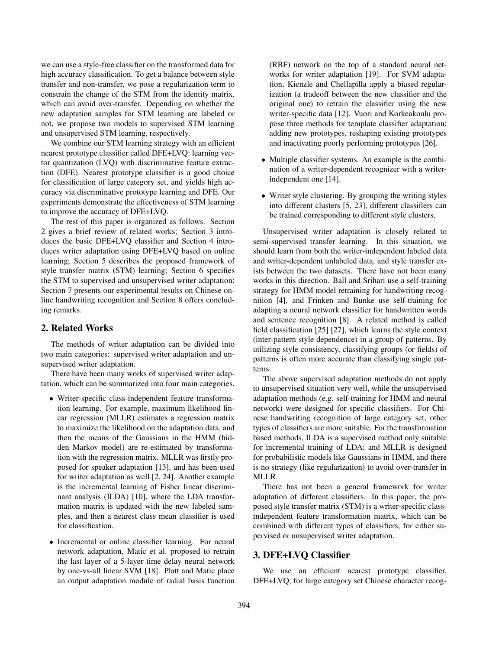we can use a style-free classifier on the transformed data for high accuracy classification. To get a balance between style transfer and non-transfer, we pose a regularization term to constrain the change of the STM from the identity matrix, which can avoid over-transfer. Depending on whether the new adaptation samples for STM learning are labeled or not, we propose two models to supervised STM learning and unsupervised STM learning, respectively.

We combine our STM learning strategy with an efficient nearest prototype classifier called DFE+LVQ: learning vector quantization (LVQ) with discriminative feature extraction (DFE). Nearest prototype classifier is a good choice for classification of large category set, and yields high accuracy via discriminative prototype learning and DFE. Our experiments demonstrate the effectiveness of STM learning to improve the accuracy of DFE+LVQ.

The rest of this paper is organized as follows. Section 2 gives a brief review of related works; Section 3 introduces the basic DFE+LVQ classifier and Section 4 introduces writer adaptation using DFE+LVQ based on online learning; Section 5 describes the proposed framework of style transfer matrix (STM) learning; Section 6 specifies the STM to supervised and unsupervised writer adaptation; Section 7 presents our experimental results on Chinese online handwriting recognition and Section 8 offers concluding remarks.

### 2. Related Works

The methods of writer adaptation can be divided into two main categories: supervised writer adaptation and unsupervised writer adaptation.

There have been many works of supervised writer adaptation, which can be summarized into four main categories.

- Writer-specific class-independent feature transformation learning. For example, maximum likelihood linear regression (MLLR) estimates a regression matrix to maximize the likelihood on the adaptation data, and then the means of the Gaussians in the HMM (hidden Markov model) are re-estimated by transformation with the regression matrix. MLLR was firstly proposed for speaker adaptation [13], and has been used for writer adaptation as well [2, 24]. Another example is the incremental learning of Fisher linear discriminant analysis (ILDA) [10], where the LDA transformation matrix is updated with the new labeled samples, and then a nearest class mean classifier is used for classification.
- Incremental or online classifier learning. For neural network adaptation, Matic et al. proposed to retrain the last layer of a 5-layer time delay neural network by one-vs-all linear SVM [18]. Platt and Matic place an output adaptation module of radial basis function

(RBF) network on the top of a standard neural networks for writer adaptation [19]. For SVM adaptation, Kienzle and Chellapilla apply a biased regularization (a tradeoff between the new classifier and the original one) to retrain the classifier using the new writer-specific data [12]. Vuori and Korkeakoulu propose three methods for template classifier adaptation: adding new prototypes, reshaping existing prototypes and inactivating poorly performing prototypes [26].

- Multiple classifier systems. An example is the combination of a writer-dependent recognizer with a writerindependent one [14].
- Writer style clustering. By grouping the writing styles into different clusters [5, 23], different classifiers can be trained corresponding to different style clusters.

Unsupervised writer adaptation is closely related to semi-supervised transfer learning. In this situation, we should learn from both the writer-independent labeled data and writer-dependent unlabeled data, and style transfer exists between the two datasets. There have not been many works in this direction. Ball and Srihari use a self-training strategy for HMM model retraining for handwriting recognition [4], and Frinken and Bunke use self-training for adapting a neural network classifier for handwritten words and sentence recognition [8]. A related method is called field classification [25] [27], which learns the style context (inter-pattern style dependence) in a group of patterns. By utilizing style consistency, classifying groups (or fields) of patterns is often more accurate than classifying single patterns.

The above supervised adaptation methods do not apply to unsupervised situation very well, while the unsupervised adaptation methods (e.g. self-training for HMM and neural network) were designed for specific classifiers. For Chinese handwriting recognition of large category set, other types of classifiers are more suitable. For the transformation based methods, ILDA is a supervised method only suitable for incremental training of LDA; and MLLR is designed for probabilistic models like Gaussians in HMM, and there is no strategy (like regularization) to avoid over-transfer in MLLR.

There has not been a general framework for writer adaptation of different classifiers. In this paper, the proposed style transfer matrix (STM) is a writer-specific classindependent feature transformation matrix, which can be combined with different types of classifiers, for either supervised or unsupervised writer adaptation.

# 3. DFE+LVQ Classifier

We use an efficient nearest prototype classifier, DFE+LVQ, for large category set Chinese character recog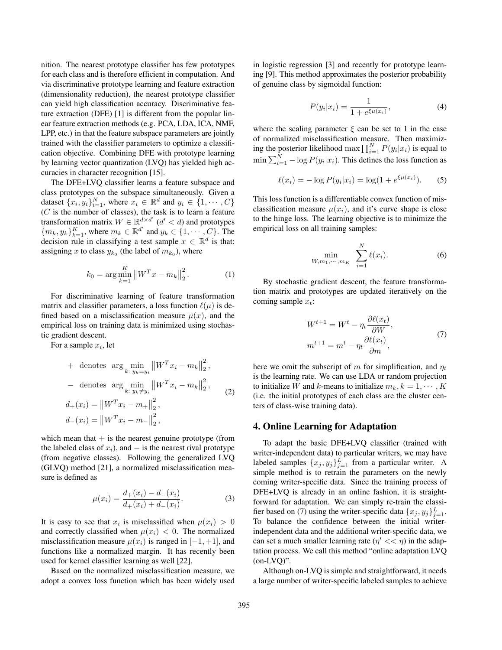nition. The nearest prototype classifier has few prototypes for each class and is therefore efficient in computation. And via discriminative prototype learning and feature extraction (dimensionality reduction), the nearest prototype classifier can yield high classification accuracy. Discriminative feature extraction (DFE) [1] is different from the popular linear feature extraction methods (e.g. PCA, LDA, ICA, NMF, LPP, etc.) in that the feature subspace parameters are jointly trained with the classifier parameters to optimize a classification objective. Combining DFE with prototype learning by learning vector quantization (LVQ) has yielded high accuracies in character recognition [15].

The DFE+LVQ classifier learns a feature subspace and class prototypes on the subspace simultaneously. Given a dataset  $\{x_i, y_i\}_{i=1}^N$ , where  $x_i \in \mathbb{R}^d$  and  $y_i \in \{1, \cdots, C\}$  $(C$  is the number of classes), the task is to learn a feature transformation matrix  $W \in \mathbb{R}^{d \times d'}$  ( $d' < d$ ) and prototypes  ${m_k, y_k}_{k=1}^K$ , where  $m_k \in \mathbb{R}^{d'}$  and  $y_k \in \{1, \cdots, C\}$ . The decision rule in classifying a test sample  $x \in \mathbb{R}^d$  is that: assigning x to class  $y_{k_0}$  (the label of  $m_{k_0}$ ), where

$$
k_0 = \arg\min_{k=1}^K \left\| W^T x - m_k \right\|_2^2.
$$
 (1)

For discriminative learning of feature transformation matrix and classifier parameters, a loss function  $\ell(\mu)$  is defined based on a misclassification measure  $\mu(x)$ , and the empirical loss on training data is minimized using stochastic gradient descent.

For a sample  $x_i$ , let

+ denotes arg 
$$
\min_{k: y_k = y_i} ||W^T x_i - m_k||_2^2
$$
,  
\n- denotes arg  $\min_{k: y_k \neq y_i} ||W^T x_i - m_k||_2^2$ ,  
\n $d_+(x_i) = ||W^T x_i - m_+||_2^2$ ,  
\n $d_-(x_i) = ||W^T x_i - m_-||_2^2$ ,  
\n(2)

which mean that  $+$  is the nearest genuine prototype (from the labeled class of  $x_i$ ), and  $-$  is the nearest rival prototype (from negative classes). Following the generalized LVQ (GLVQ) method [21], a normalized misclassification measure is defined as

$$
\mu(x_i) = \frac{d_+(x_i) - d_-(x_i)}{d_+(x_i) + d_-(x_i)}.
$$
\n(3)

It is easy to see that  $x_i$  is misclassified when  $\mu(x_i) > 0$ and correctly classified when  $\mu(x_i) < 0$ . The normalized misclassification measure  $\mu(x_i)$  is ranged in [-1, +1], and functions like a normalized margin. It has recently been used for kernel classifier learning as well [22].

Based on the normalized misclassification measure, we adopt a convex loss function which has been widely used in logistic regression [3] and recently for prototype learning [9]. This method approximates the posterior probability of genuine class by sigmoidal function:

$$
P(y_i|x_i) = \frac{1}{1 + e^{\xi \mu(x_i)}},
$$
\n(4)

where the scaling parameter  $\xi$  can be set to 1 in the case of normalized misclassification measure. Then maximizing the posterior likelihood max  $\prod_{i=1}^{N} P(y_i | x_i)$  is equal to  $\min \sum_{i=1}^{N} -\log P(y_i|x_i)$ . This defines the loss function as

$$
\ell(x_i) = -\log P(y_i|x_i) = \log(1 + e^{\xi \mu(x_i)}).
$$
 (5)

This loss function is a differentiable convex function of misclassification measure  $\mu(x_i)$ , and it's curve shape is close to the hinge loss. The learning objective is to minimize the empirical loss on all training samples:

$$
\min_{W, m_1, \cdots, m_K} \sum_{i=1}^{N} \ell(x_i).
$$
 (6)

By stochastic gradient descent, the feature transformation matrix and prototypes are updated iteratively on the coming sample  $x_t$ :

$$
W^{t+1} = W^t - \eta_t \frac{\partial \ell(x_t)}{\partial W},
$$
  
\n
$$
m^{t+1} = m^t - \eta_t \frac{\partial \ell(x_t)}{\partial m},
$$
\n(7)

here we omit the subscript of m for simplification, and  $\eta_t$ is the learning rate. We can use LDA or random projection to initialize W and k-means to initialize  $m_k, k = 1, \dots, K$ (i.e. the initial prototypes of each class are the cluster centers of class-wise training data).

#### 4. Online Learning for Adaptation

To adapt the basic DFE+LVQ classifier (trained with writer-independent data) to particular writers, we may have labeled samples  $\{x_j, y_j\}_{j=1}^L$  from a particular writer. A simple method is to retrain the parameters on the newly coming writer-specific data. Since the training process of DFE+LVQ is already in an online fashion, it is straightforward for adaptation. We can simply re-train the classifier based on (7) using the writer-specific data  $\{x_j, y_j\}_{j=1}^L$ . To balance the confidence between the initial writerindependent data and the additional writer-specific data, we can set a much smaller learning rate  $(\eta' << \eta)$  in the adaptation process. We call this method "online adaptation LVQ  $(on-LVO)$ ".

Although on-LVQ is simple and straightforward, it needs a large number of writer-specific labeled samples to achieve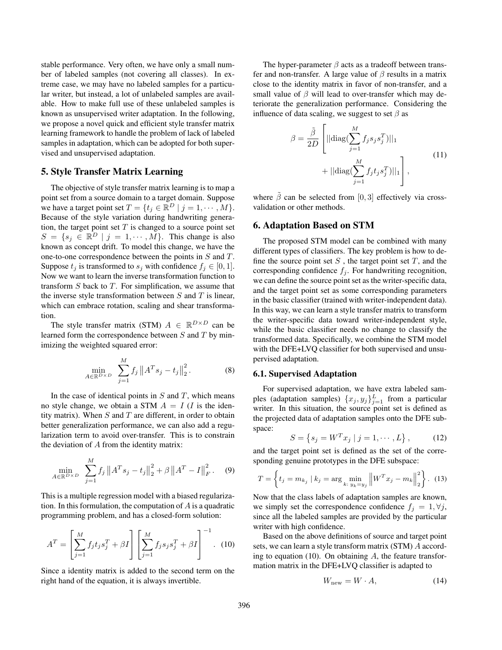stable performance. Very often, we have only a small number of labeled samples (not covering all classes). In extreme case, we may have no labeled samples for a particular writer, but instead, a lot of unlabeled samples are available. How to make full use of these unlabeled samples is known as unsupervised writer adaptation. In the following, we propose a novel quick and efficient style transfer matrix learning framework to handle the problem of lack of labeled samples in adaptation, which can be adopted for both supervised and unsupervised adaptation.

# 5. Style Transfer Matrix Learning

The objective of style transfer matrix learning is to map a point set from a source domain to a target domain. Suppose we have a target point set  $T = \{t_j \in \mathbb{R}^D \mid j = 1, \cdots, M\}.$ Because of the style variation during handwriting generation, the target point set  $T$  is changed to a source point set  $S = \{s_j \in \mathbb{R}^D \mid j = 1, \cdots, M\}$ . This change is also known as concept drift. To model this change, we have the one-to-one correspondence between the points in S and T. Suppose  $t_j$  is transformed to  $s_j$  with confidence  $f_j \in [0, 1]$ . Now we want to learn the inverse transformation function to transform  $S$  back to  $T$ . For simplification, we assume that the inverse style transformation between  $S$  and  $T$  is linear, which can embrace rotation, scaling and shear transformation.

The style transfer matrix (STM)  $A \in \mathbb{R}^{D \times D}$  can be learned form the correspondence between  $S$  and  $T$  by minimizing the weighted squared error:

$$
\min_{A \in \mathbb{R}^{D \times D}} \sum_{j=1}^{M} f_j \|A^T s_j - t_j\|_2^2.
$$
 (8)

In the case of identical points in  $S$  and  $T$ , which means no style change, we obtain a STM  $A = I$  (*I* is the identity matrix). When  $S$  and  $T$  are different, in order to obtain better generalization performance, we can also add a regularization term to avoid over-transfer. This is to constrain the deviation of A from the identity matrix:

$$
\min_{A \in \mathbb{R}^{D \times D}} \sum_{j=1}^{M} f_j \|A^T s_j - t_j\|_2^2 + \beta \|A^T - I\|_F^2. \tag{9}
$$

This is a multiple regression model with a biased regularization. In this formulation, the computation of  $A$  is a quadratic programming problem, and has a closed-form solution:

$$
A^{T} = \left[\sum_{j=1}^{M} f_{j} t_{j} s_{j}^{T} + \beta I\right] \left[\sum_{j=1}^{M} f_{j} s_{j} s_{j}^{T} + \beta I\right]^{-1}.
$$
 (10)

Since a identity matrix is added to the second term on the right hand of the equation, it is always invertible.

The hyper-parameter  $\beta$  acts as a tradeoff between transfer and non-transfer. A large value of  $\beta$  results in a matrix close to the identity matrix in favor of non-transfer, and a small value of  $\beta$  will lead to over-transfer which may deteriorate the generalization performance. Considering the influence of data scaling, we suggest to set  $\beta$  as

$$
\beta = \frac{\tilde{\beta}}{2D} \left[ ||\text{diag}(\sum_{j=1}^{M} f_j s_j s_j^T) ||_1 + ||\text{diag}(\sum_{j=1}^{M} f_j t_j s_j^T) ||_1 \right],
$$
\n(11)

where  $\tilde{\beta}$  can be selected from [0, 3] effectively via crossvalidation or other methods.

# 6. Adaptation Based on STM

The proposed STM model can be combined with many different types of classifiers. The key problem is how to define the source point set  $S$ , the target point set  $T$ , and the corresponding confidence  $f_j$ . For handwriting recognition, we can define the source point set as the writer-specific data, and the target point set as some corresponding parameters in the basic classifier (trained with writer-independent data). In this way, we can learn a style transfer matrix to transform the writer-specific data toward writer-independent style, while the basic classifier needs no change to classify the transformed data. Specifically, we combine the STM model with the DFE+LVQ classifier for both supervised and unsupervised adaptation.

#### 6.1. Supervised Adaptation

For supervised adaptation, we have extra labeled samples (adaptation samples)  $\{x_j, y_j\}_{j=1}^L$  from a particular writer. In this situation, the source point set is defined as the projected data of adaptation samples onto the DFE subspace:

$$
S = \{ s_j = W^T x_j \mid j = 1, \cdots, L \}, \quad (12)
$$

and the target point set is defined as the set of the corresponding genuine prototypes in the DFE subspace:

$$
T = \left\{ t_j = m_{k_j} \mid k_j = \arg \min_{k: y_k = y_j} \left\| W^T x_j - m_k \right\|_2^2 \right\}. \tag{13}
$$

Now that the class labels of adaptation samples are known, we simply set the correspondence confidence  $f_j = 1, \forall j$ , since all the labeled samples are provided by the particular writer with high confidence.

Based on the above definitions of source and target point sets, we can learn a style transform matrix (STM) A according to equation (10). On obtaining  $A$ , the feature transformation matrix in the DFE+LVQ classifier is adapted to

$$
W_{\text{new}} = W \cdot A,\tag{14}
$$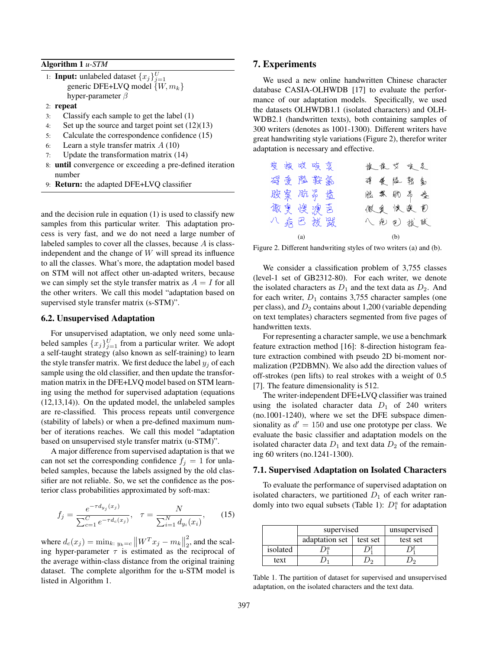Algorithm 1 *u-STM*

1: **Input:** unlabeled dataset  $\{x_j\}_{j=1}^U$ generic DFE+LVQ model  $\{W, m_k\}$ hyper-parameter  $\beta$ 

- 2: repeat
- 3: Classify each sample to get the label (1)
- 4: Set up the source and target point set (12)(13)
- 5: Calculate the correspondence confidence (15)
- 6: Learn a style transfer matrix  $A(10)$
- 7: Update the transformation matrix (14)
- 8: until convergence or exceeding a pre-defined iteration number
- 9: Return: the adapted DFE+LVQ classifier

and the decision rule in equation (1) is used to classify new samples from this particular writer. This adaptation process is very fast, and we do not need a large number of labeled samples to cover all the classes, because A is classindependent and the change of  $W$  will spread its influence to all the classes. What's more, the adaptation model based on STM will not affect other un-adapted writers, because we can simply set the style transfer matrix as  $A = I$  for all the other writers. We call this model "adaptation based on supervised style transfer matrix (s-STM)".

#### 6.2. Unsupervised Adaptation

For unsupervised adaptation, we only need some unlabeled samples  $\{x_j\}_{j=1}^U$  from a particular writer. We adopt a self-taught strategy (also known as self-training) to learn the style transfer matrix. We first deduce the label  $y_i$  of each sample using the old classifier, and then update the transformation matrix in the DFE+LVQ model based on STM learning using the method for supervised adaptation (equations (12,13,14)). On the updated model, the unlabeled samples are re-classified. This process repeats until convergence (stability of labels) or when a pre-defined maximum number of iterations reaches. We call this model "adaptation based on unsupervised style transfer matrix (u-STM)".

A major difference from supervised adaptation is that we can not set the corresponding confidence  $f_i = 1$  for unlabeled samples, because the labels assigned by the old classifier are not reliable. So, we set the confidence as the posterior class probabilities approximated by soft-max:

$$
f_j = \frac{e^{-\tau d_{y_j}(x_j)}}{\sum_{c=1}^C e^{-\tau d_c(x_j)}}, \quad \tau = \frac{N}{\sum_{i=1}^N d_{y_i}(x_i)},\tag{15}
$$

where  $d_c(x_j) = \min_{k: y_k = c} ||W^T x_j - m_k||$ 2  $\frac{2}{2}$ , and the scaling hyper-parameter  $\tau$  is estimated as the reciprocal of the average within-class distance from the original training dataset. The complete algorithm for the u-STM model is listed in Algorithm 1.

# 7. Experiments

We used a new online handwritten Chinese character database CASIA-OLHWDB [17] to evaluate the performance of our adaptation models. Specifically, we used the datasets OLHWDB1.1 (isolated characters) and OLH-WDB2.1 (handwritten texts), both containing samples of 300 writers (denotes as 1001-1300). Different writers have great handwriting style variations (Figure 2), therefor writer adaptation is necessary and effective.

| 獎拔哎咳哀    | 恢 散 岁 唆 哀        |
|----------|------------------|
| 碍爱险鞍氨    | <b>碍 爱 隘 鹳 勃</b> |
| 朘案 肮昂 盎  | 脱氧肋昂噬            |
| 傲奧 懊 澳 芭 | 微更 快奥 苞          |
| 八病巴拔跋    | 八疤包拔做            |
| (a)      | (b)              |

Figure 2. Different handwriting styles of two writers (a) and (b).

We consider a classification problem of 3,755 classes (level-1 set of GB2312-80). For each writer, we denote the isolated characters as  $D_1$  and the text data as  $D_2$ . And for each writer,  $D_1$  contains 3,755 character samples (one per class), and  $D_2$  contains about 1,200 (variable depending on text templates) characters segmented from five pages of handwritten texts.

For representing a character sample, we use a benchmark feature extraction method [16]: 8-direction histogram feature extraction combined with pseudo 2D bi-moment normalization (P2DBMN). We also add the direction values of off-strokes (pen lifts) to real strokes with a weight of 0.5 [7]. The feature dimensionality is 512.

The writer-independent DFE+LVQ classifier was trained using the isolated character data  $D_1$  of 240 writers (no.1001-1240), where we set the DFE subspace dimensionality as  $d' = 150$  and use one prototype per class. We evaluate the basic classifier and adaptation models on the isolated character data  $D_1$  and text data  $D_2$  of the remaining 60 writers (no.1241-1300).

#### 7.1. Supervised Adaptation on Isolated Characters

To evaluate the performance of supervised adaptation on isolated characters, we partitioned  $D_1$  of each writer randomly into two equal subsets (Table 1):  $D_1^a$  for adaptation

|          | supervised     | unsupervised |          |  |  |
|----------|----------------|--------------|----------|--|--|
|          | adaptation set | test set     | test set |  |  |
| isolated |                |              |          |  |  |
| text     |                |              |          |  |  |

Table 1. The partition of dataset for supervised and unsupervised adaptation, on the isolated characters and the text data.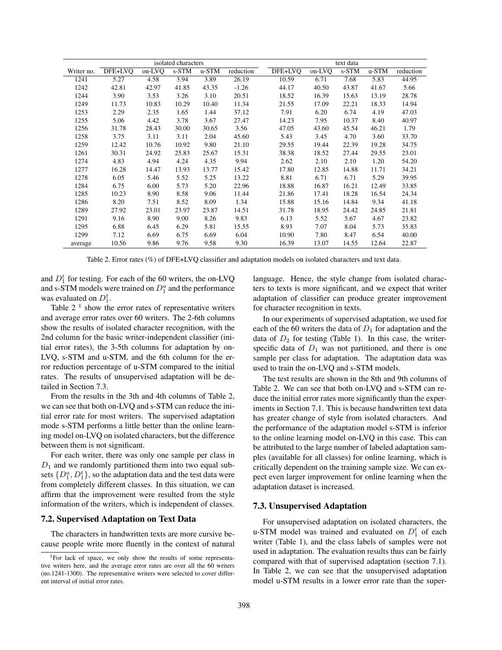| isolated characters |         |        |       |       | text data |         |        |       |       |           |
|---------------------|---------|--------|-------|-------|-----------|---------|--------|-------|-------|-----------|
| Writer no.          | DFE+LVO | on-LVQ | s-STM | u-STM | reduction | DFE+LVO | on-LVQ | s-STM | u-STM | reduction |
| 1241                | 5.27    | 4.58   | 3.94  | 3.89  | 26.19     | 10.59   | 6.71   | 7.68  | 5.83  | 44.95     |
| 1242                | 42.81   | 42.97  | 41.85 | 43.35 | $-1.26$   | 44.17   | 40.50  | 43.87 | 41.67 | 5.66      |
| 1244                | 3.90    | 3.53   | 3.26  | 3.10  | 20.51     | 18.52   | 16.39  | 15.63 | 13.19 | 28.78     |
| 1249                | 11.73   | 10.83  | 10.29 | 10.40 | 11.34     | 21.55   | 17.09  | 22.21 | 18.33 | 14.94     |
| 1253                | 2.29    | 2.35   | 1.65  | 1.44  | 37.12     | 7.91    | 6.20   | 6.74  | 4.19  | 47.03     |
| 1255                | 5.06    | 4.42   | 3.78  | 3.67  | 27.47     | 14.23   | 7.95   | 10.37 | 8.40  | 40.97     |
| 1256                | 31.78   | 28.43  | 30.00 | 30.65 | 3.56      | 47.05   | 43.60  | 45.54 | 46.21 | 1.79      |
| 1258                | 3.75    | 3.11   | 3.11  | 2.04  | 45.60     | 5.43    | 3.45   | 4.70  | 3.60  | 33.70     |
| 1259                | 12.42   | 10.76  | 10.92 | 9.80  | 21.10     | 29.55   | 19.44  | 22.39 | 19.28 | 34.75     |
| 1261                | 30.31   | 24.92  | 25.83 | 25.67 | 15.31     | 38.38   | 18.52  | 27.44 | 29.55 | 23.01     |
| 1274                | 4.83    | 4.94   | 4.24  | 4.35  | 9.94      | 2.62    | 2.10   | 2.10  | 1.20  | 54.20     |
| 1277                | 16.28   | 14.47  | 13.93 | 13.77 | 15.42     | 17.80   | 12.85  | 14.88 | 11.71 | 34.21     |
| 1278                | 6.05    | 5.46   | 5.52  | 5.25  | 13.22     | 8.81    | 6.71   | 6.71  | 5.29  | 39.95     |
| 1284                | 6.75    | 6.00   | 5.73  | 5.20  | 22.96     | 18.88   | 16.87  | 16.21 | 12.49 | 33.85     |
| 1285                | 10.23   | 8.90   | 8.58  | 9.06  | 11.44     | 21.86   | 17.41  | 18.28 | 16.54 | 24.34     |
| 1286                | 8.20    | 7.51   | 8.52  | 8.09  | 1.34      | 15.88   | 15.16  | 14.84 | 9.34  | 41.18     |
| 1289                | 27.92   | 23.01  | 23.97 | 23.87 | 14.51     | 31.78   | 18.95  | 24.42 | 24.85 | 21.81     |
| 1291                | 9.16    | 8.90   | 9.00  | 8.26  | 9.83      | 6.13    | 5.52   | 5.67  | 4.67  | 23.82     |
| 1295                | 6.88    | 6.45   | 6.29  | 5.81  | 15.55     | 8.93    | 7.07   | 8.04  | 5.73  | 35.83     |
| 1299                | 7.12    | 6.69   | 6.75  | 6.69  | 6.04      | 10.90   | 7.80   | 8.47  | 6.54  | 40.00     |
| average             | 10.56   | 9.86   | 9.76  | 9.58  | 9.30      | 16.39   | 13.07  | 14.55 | 12.64 | 22.87     |

Table 2. Error rates (%) of DFE+LVQ classifier and adaptation models on isolated characters and text data.

and  $D_1^t$  for testing. For each of the 60 writers, the on-LVQ and s-STM models were trained on  $D_1^a$  and the performance was evaluated on  $D_1^t$ .

Table  $2<sup>1</sup>$  show the error rates of representative writers and average error rates over 60 writers. The 2-6th columns show the results of isolated character recognition, with the 2nd column for the basic writer-independent classifier (initial error rates), the 3-5th columns for adaptation by on-LVQ, s-STM and u-STM, and the 6th column for the error reduction percentage of u-STM compared to the initial rates. The results of unsupervised adaptation will be detailed in Section 7.3.

From the results in the 3th and 4th columns of Table 2, we can see that both on-LVQ and s-STM can reduce the initial error rate for most writers. The supervised adaptation mode s-STM performs a little better than the online learning model on-LVQ on isolated characters, but the difference between them is not significant.

For each writer, there was only one sample per class in  $D_1$  and we randomly partitioned them into two equal subsets  $\{D_1^a, D_1^t\}$ , so the adaptation data and the test data were from completely different classes. In this situation, we can affirm that the improvement were resulted from the style information of the writers, which is independent of classes.

#### 7.2. Supervised Adaptation on Text Data

The characters in handwritten texts are more cursive because people write more fluently in the context of natural

language. Hence, the style change from isolated characters to texts is more significant, and we expect that writer adaptation of classifier can produce greater improvement for character recognition in texts.

In our experiments of supervised adaptation, we used for each of the 60 writers the data of  $D_1$  for adaptation and the data of  $D_2$  for testing (Table 1). In this case, the writerspecific data of  $D_1$  was not partitioned, and there is one sample per class for adaptation. The adaptation data was used to train the on-LVQ and s-STM models.

The test results are shown in the 8th and 9th columns of Table 2. We can see that both on-LVQ and s-STM can reduce the initial error rates more significantly than the experiments in Section 7.1. This is because handwritten text data has greater change of style from isolated characters. And the performance of the adaptation model s-STM is inferior to the online learning model on-LVQ in this case. This can be attributed to the large number of labeled adaptation samples (available for all classes) for online learning, which is critically dependent on the training sample size. We can expect even larger improvement for online learning when the adaptation dataset is increased.

### 7.3. Unsupervised Adaptation

For unsupervised adaptation on isolated characters, the u-STM model was trained and evaluated on  $D_1^t$  of each writer (Table 1), and the class labels of samples were not used in adaptation. The evaluation results thus can be fairly compared with that of supervised adaptation (section 7.1). In Table 2, we can see that the unsupervised adaptation model u-STM results in a lower error rate than the super-

<sup>1</sup>For lack of space, we only show the results of some representative writers here, and the average error rates are over all the 60 writers (no.1241-1300). The representative writers were selected to cover different interval of initial error rates.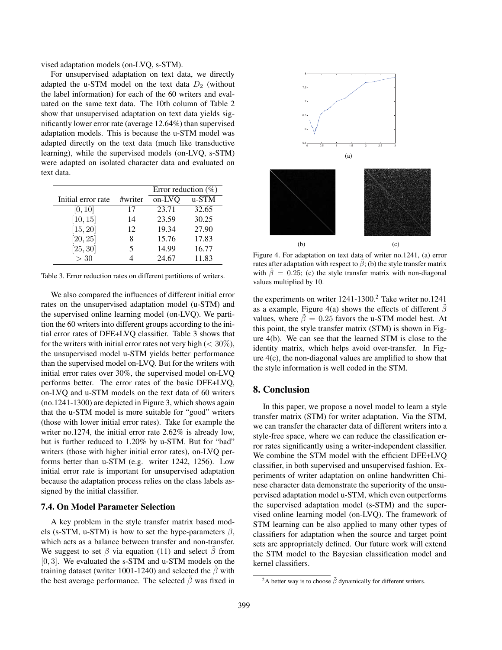vised adaptation models (on-LVQ, s-STM).

For unsupervised adaptation on text data, we directly adapted the u-STM model on the text data  $D_2$  (without the label information) for each of the 60 writers and evaluated on the same text data. The 10th column of Table 2 show that unsupervised adaptation on text data yields significantly lower error rate (average 12.64%) than supervised adaptation models. This is because the u-STM model was adapted directly on the text data (much like transductive learning), while the supervised models (on-LVQ, s-STM) were adapted on isolated character data and evaluated on text data.

|                    |         | Error reduction $(\% )$ |       |  |
|--------------------|---------|-------------------------|-------|--|
| Initial error rate | #writer | on-LVQ                  | u-STM |  |
| [0, 10]            | 17      | 23.71                   | 32.65 |  |
| [10, 15]           | 14      | 23.59                   | 30.25 |  |
| [15, 20]           | 12      | 19.34                   | 27.90 |  |
| [20, 25]           | 8       | 15.76                   | 17.83 |  |
| [25, 30]           | 5       | 14.99                   | 16.77 |  |
| >30                |         | 24.67                   | 11.83 |  |

Table 3. Error reduction rates on different partitions of writers.

We also compared the influences of different initial error rates on the unsupervised adaptation model (u-STM) and the supervised online learning model (on-LVQ). We partition the 60 writers into different groups according to the initial error rates of DFE+LVQ classifier. Table 3 shows that for the writers with initial error rates not very high ( $\langle 30\%$ ), the unsupervised model u-STM yields better performance than the supervised model on-LVQ. But for the writers with initial error rates over 30%, the supervised model on-LVQ performs better. The error rates of the basic DFE+LVQ, on-LVQ and u-STM models on the text data of 60 writers (no.1241-1300) are depicted in Figure 3, which shows again that the u-STM model is more suitable for "good" writers (those with lower initial error rates). Take for example the writer no.1274, the initial error rate 2.62% is already low, but is further reduced to 1.20% by u-STM. But for "bad" writers (those with higher initial error rates), on-LVQ performs better than u-STM (e.g. writer 1242, 1256). Low initial error rate is important for unsupervised adaptation because the adaptation process relies on the class labels assigned by the initial classifier.

#### 7.4. On Model Parameter Selection

A key problem in the style transfer matrix based models (s-STM, u-STM) is how to set the hype-parameters  $\beta$ , which acts as a balance between transfer and non-transfer. We suggest to set  $\beta$  via equation (11) and select  $\beta$  from [0, 3]. We evaluated the s-STM and u-STM models on the training dataset (writer 1001-1240) and selected the  $\beta$  with the best average performance. The selected  $\beta$  was fixed in



Figure 4. For adaptation on text data of writer no.1241, (a) error rates after adaptation with respect to  $\beta$ ; (b) the style transfer matrix with  $\tilde{\beta} = 0.25$ ; (c) the style transfer matrix with non-diagonal values multiplied by 10.

the experiments on writer  $1241-1300$ .<sup>2</sup> Take writer no.1241 as a example, Figure 4(a) shows the effects of different  $\hat{\beta}$ values, where  $\hat{\beta} = 0.25$  favors the u-STM model best. At this point, the style transfer matrix (STM) is shown in Figure 4(b). We can see that the learned STM is close to the identity matrix, which helps avoid over-transfer. In Figure 4(c), the non-diagonal values are amplified to show that the style information is well coded in the STM.

### 8. Conclusion

In this paper, we propose a novel model to learn a style transfer matrix (STM) for writer adaptation. Via the STM, we can transfer the character data of different writers into a style-free space, where we can reduce the classification error rates significantly using a writer-independent classifier. We combine the STM model with the efficient DFE+LVQ classifier, in both supervised and unsupervised fashion. Experiments of writer adaptation on online handwritten Chinese character data demonstrate the superiority of the unsupervised adaptation model u-STM, which even outperforms the supervised adaptation model (s-STM) and the supervised online learning model (on-LVQ). The framework of STM learning can be also applied to many other types of classifiers for adaptation when the source and target point sets are appropriately defined. Our future work will extend the STM model to the Bayesian classification model and kernel classifiers.

<sup>&</sup>lt;sup>2</sup>A better way is to choose  $\tilde{\beta}$  dynamically for different writers.